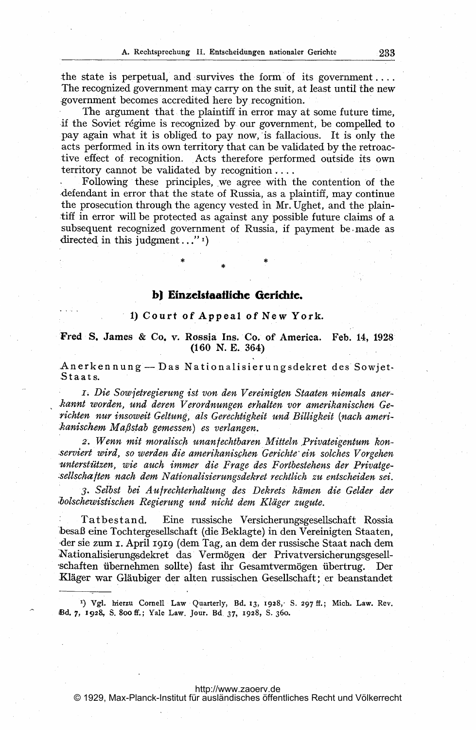the state is perpetual, and survives the form of its government... The recognized government may carry on the suit, at least until the new government becomes accredited here by recognition.

The argument that the plaintiff in error may at some future time, if the Soviet régime is recognized by our government, be compelled to pay again what it is obliged to pay now, is fallacious. It is only the acts performed in its own territory that can be validated by the retroactive effect of recognition. Acts therefore performed outside its own territory cannot be validated by recognition....

Following these principles, we agree with the contention of the defendant in error that the state of Russia, as a plaintiff, may continue the prosecution through the agency vested in Mr. Ughet, and the plaintiff in error will be protected as against any possible future claims of a subsequent recognized government of Russia, if payment be made as directed in this judgment..."1)

# b) Einzelstaatliche Gerichte.

### 1) Court of Appeal of New York.

## Fred S. James & Co. v. Rossia Ins. Co. of America. Feb. 14, 1928 (160 N. E. 364)

Anerkennung-Das Nationalisierungsdekret des Sowjet- ,Staats.

1. Die Sowjetregierung ist von den Vereinigten Staaten niemals anerkannt worden, und deren Verordnungen erhalten vor amerikanischen Gerichten nur insoweit Geltung, als Gerechtigkeit und Billigkeit (nach amerihanischem Ma,6stab gemessen) es verlangen.

2. Wenn mit moralisch unanfechtbaren Mitteln Privateigentum konserviert wird, so werden die amerikanischen Gerichte ein solches Vorgehen -unterstützen, wie auch immer die Frage des Fortbestehens der Privatge sellschaften nach dem Nationalisierungsdekret rechtlich zu entscheiden sei.

3- Selbst bei Aufrechterhaltung des Dekrets kämen die Gelder der holschewistischen Regierung Und nicht dem Kläger zugute.

Tatbestand. Eine russische Versicherungsgesellschaft Rossia -besaß eine Tochtergesellschaft (die Beklagte) in den Vereinigten Staaten, sie zum i. April igig (dem Tag, an dem der russische Staat nach dem Nationalisierungsdekret das Vermögen der Privatversicherungsgesellübernehmen sollte) fast ihr Gesamtvermögen übertrug. Der Kläger war Gläubiger der alten russischen Gesellschaft; er beanstandet

<sup>1</sup>) Vgl. hierzu Cornell Law Quarterly, Bd. 13, 1928, S. 297 ff.; Mich. Law. Rev. Ed. 7, 1928, S. 8oo ff.; Yale Law. Jour. Bd 37, 1928, S- 36o.

#### <http://www.zaoerv.de>

© 1929, Max-Planck-Institut für ausländisches öffentliches Recht und Völkerrecht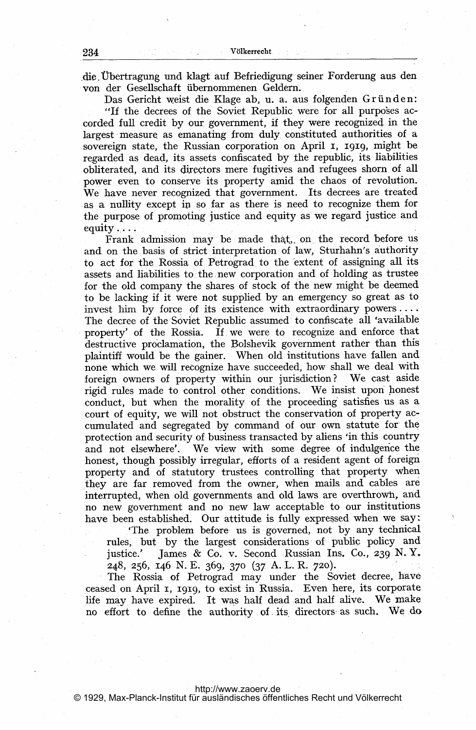,die. Übertragung und klagt auf Befriedigung seiner Forderung aus den von der Gesellschaft übernommenen Geldern..

Das Gericht weist die Klage ab, u. a. aus folgenden Gründen: "If the decrees of the Soviet Republic were for all purposes accorded full credit by our government, if they were recognized in the largest measure as emanating from duly constituted authorities of a sovereign state, the Russian corporation on April I, 1919, might be regarded as dead, its assets confiscated by the republic, its liabilities obliterated, and its directors mere fugitives and refugees shorn of all power even to conserve its property amid the chaos of revolution. We have never recognized that government. Its decrees are treated as a nullity except in so far as there is need to recognize them for the purpose of promoting justice and equity as we regard justice and equity...

Frank admission may be made that, on the record before us and on the basis of strict interpretation of law, Sturhahn's authority to act for the Rossia of Petrograd, to the 'extent of assigning all its assets and liabilities to, the new corporation and of holding as trustee for the old company the shares of stock of the new might be deemed to be lacking if it were not supplied by an emergency so great as to invest him by force of its existence with extraordinary powers.... The decree of the Soviet Republic assumed to confiscate all 'available property' of the Rossia. If. we were to recognize and enforce that destructive proclamation, the Bolshevik government rather than this plaintiff would be the gainer. When old institutions have fallen and none which we will recognize have succeeded, how shall we deal with foreign owners of property within our jurisdiction? We cast aside rigid rules made to control other conditions. We insist upon .conduct, but when the morality of the proceeding' satisfies us as a court of equity, we will not obstruct the conservation of property accumulated and segregated by command of our own statute for the protection and security of business transacted by aliens 'in this country and not elsewhere'. We view with some degree of indulgence the honest, though possibly irregular, efforts of a resident agent of foreign property and of statutory trustees controlling that property when they are far removed from the owner, when mails and cables are interrupted, when old governments and old laws are overthrown, and no new government and no new law acceptable to our institutions have been established. Our attitude is fully expressed when we say'.

'The problem before- us is, governed, not by any technical rules, but by the largest considerations of public policy and justice.' James & Co. v. Second Russian Ins. Co., 239 N.Y. 248, 256, 146 N. E. 369, 370 (37 A. L. R. 720).

The Rossia of Petrograd may under the Soviet decree, have ceased on April 1, 1919, to exist in Russia. Even here, its corporate life may have expired. It was half dead and half alive. We make no effort to define the authority of its directors as such. We do

<http://www.zaoerv.de>

© 1929, Max-Planck-Institut für ausländisches öffentliches Recht und Völkerrecht